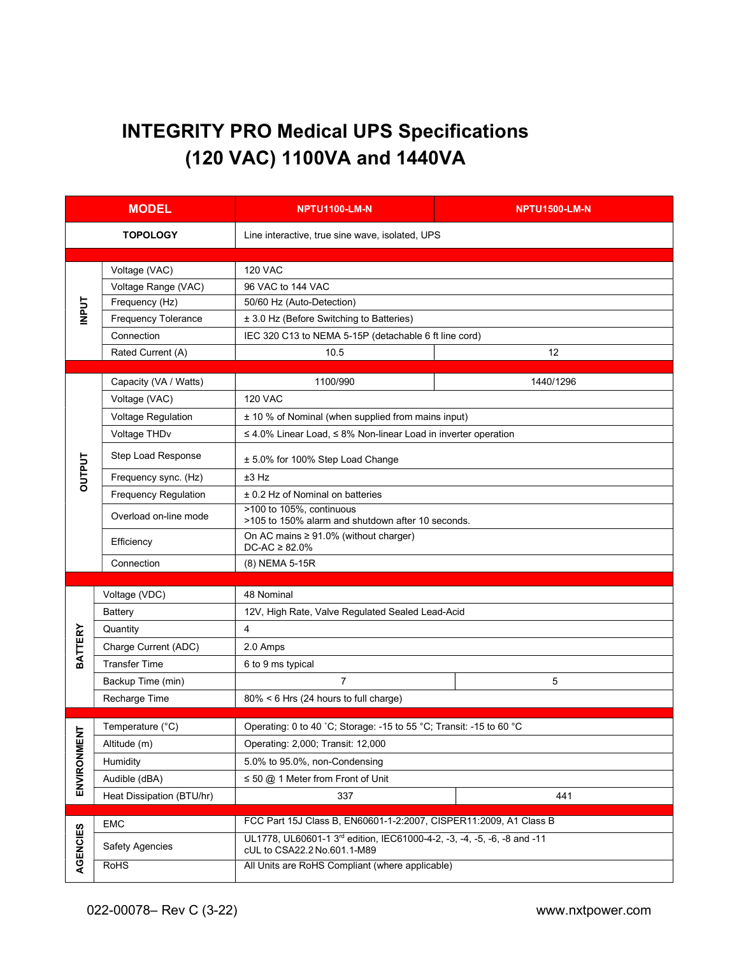# INTEGRITY PRO Medical UPS Specifications (120 VAC) 1100VA and 1440VA

| <b>MODEL</b>   |                             | <b>NPTU1100-LM-N</b>                                                                                   | <b>NPTU1500-LM-N</b> |  |  |  |
|----------------|-----------------------------|--------------------------------------------------------------------------------------------------------|----------------------|--|--|--|
|                | <b>TOPOLOGY</b>             | Line interactive, true sine wave, isolated, UPS                                                        |                      |  |  |  |
| <b>INPUT</b>   | Voltage (VAC)               | <b>120 VAC</b>                                                                                         |                      |  |  |  |
|                | Voltage Range (VAC)         | 96 VAC to 144 VAC                                                                                      |                      |  |  |  |
|                | Frequency (Hz)              | 50/60 Hz (Auto-Detection)                                                                              |                      |  |  |  |
|                | <b>Frequency Tolerance</b>  | ± 3.0 Hz (Before Switching to Batteries)                                                               |                      |  |  |  |
|                | Connection                  | IEC 320 C13 to NEMA 5-15P (detachable 6 ft line cord)                                                  |                      |  |  |  |
|                | Rated Current (A)           | 10.5                                                                                                   | 12                   |  |  |  |
| <b>OUTPUT</b>  | Capacity (VA / Watts)       | 1100/990                                                                                               | 1440/1296            |  |  |  |
|                | Voltage (VAC)               | <b>120 VAC</b>                                                                                         |                      |  |  |  |
|                | <b>Voltage Regulation</b>   | ± 10 % of Nominal (when supplied from mains input)                                                     |                      |  |  |  |
|                | Voltage THDv                | ≤ 4.0% Linear Load, ≤ 8% Non-linear Load in inverter operation                                         |                      |  |  |  |
|                | Step Load Response          | ± 5.0% for 100% Step Load Change                                                                       |                      |  |  |  |
|                | Frequency sync. (Hz)        | $±3$ Hz                                                                                                |                      |  |  |  |
|                | <b>Frequency Regulation</b> | ± 0.2 Hz of Nominal on batteries                                                                       |                      |  |  |  |
|                | Overload on-line mode       | >100 to 105%, continuous<br>>105 to 150% alarm and shutdown after 10 seconds.                          |                      |  |  |  |
|                | Efficiency                  | On AC mains $\geq 91.0\%$ (without charger)<br>$DC-AC \geq 82.0\%$                                     |                      |  |  |  |
|                | Connection                  | (8) NEMA 5-15R                                                                                         |                      |  |  |  |
|                |                             |                                                                                                        |                      |  |  |  |
|                | Voltage (VDC)               | 48 Nominal                                                                                             |                      |  |  |  |
|                | Battery                     | 12V, High Rate, Valve Regulated Sealed Lead-Acid                                                       |                      |  |  |  |
| <b>BATTERY</b> | Quantity                    | 4                                                                                                      |                      |  |  |  |
|                | Charge Current (ADC)        | 2.0 Amps                                                                                               |                      |  |  |  |
|                | <b>Transfer Time</b>        | 6 to 9 ms typical                                                                                      |                      |  |  |  |
|                | Backup Time (min)           | $\overline{7}$                                                                                         | 5                    |  |  |  |
|                | Recharge Time               | 80% < 6 Hrs (24 hours to full charge)                                                                  |                      |  |  |  |
|                | Temperature (°C)            | Operating: 0 to 40 °C; Storage: -15 to 55 °C; Transit: -15 to 60 °C                                    |                      |  |  |  |
| $\overline{z}$ | Altitude (m)                | Operating: 2,000; Transit: 12,000                                                                      |                      |  |  |  |
|                | Humidity                    | 5.0% to 95.0%, non-Condensing                                                                          |                      |  |  |  |
| ENVIRONMEI     | Audible (dBA)               | $\leq$ 50 @ 1 Meter from Front of Unit                                                                 |                      |  |  |  |
|                | Heat Dissipation (BTU/hr)   | 337                                                                                                    | 441                  |  |  |  |
| AGENCIES       | <b>EMC</b>                  | FCC Part 15J Class B, EN60601-1-2:2007, CISPER11:2009, A1 Class B                                      |                      |  |  |  |
|                | <b>Safety Agencies</b>      | UL1778, UL60601-1 3rd edition, IEC61000-4-2, -3, -4, -5, -6, -8 and -11<br>cUL to CSA22.2 No.601.1-M89 |                      |  |  |  |
|                | <b>RoHS</b>                 | All Units are RoHS Compliant (where applicable)                                                        |                      |  |  |  |